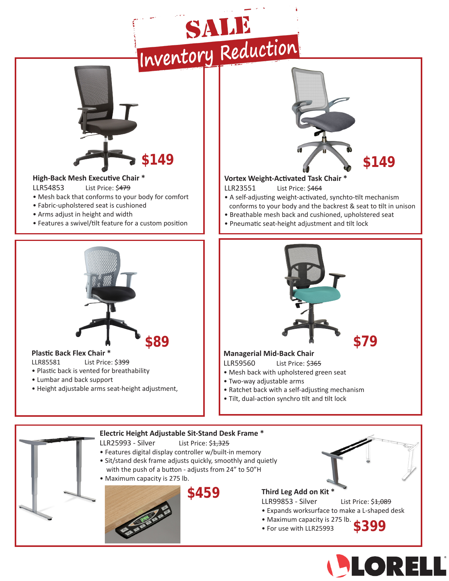



## LLR85581 List Price: \$399

- Plastic back is vented for breathability
- Lumbar and back support
- Height adjustable arms seat-height adjustment,

## **Managerial Mid-Back Chair**

LLR59560 List Price: \$365

- Mesh back with upholstered green seat
- Two-way adjustable arms
- Ratchet back with a self-adjusting mechanism
- Tilt, dual-action synchro tilt and tilt lock